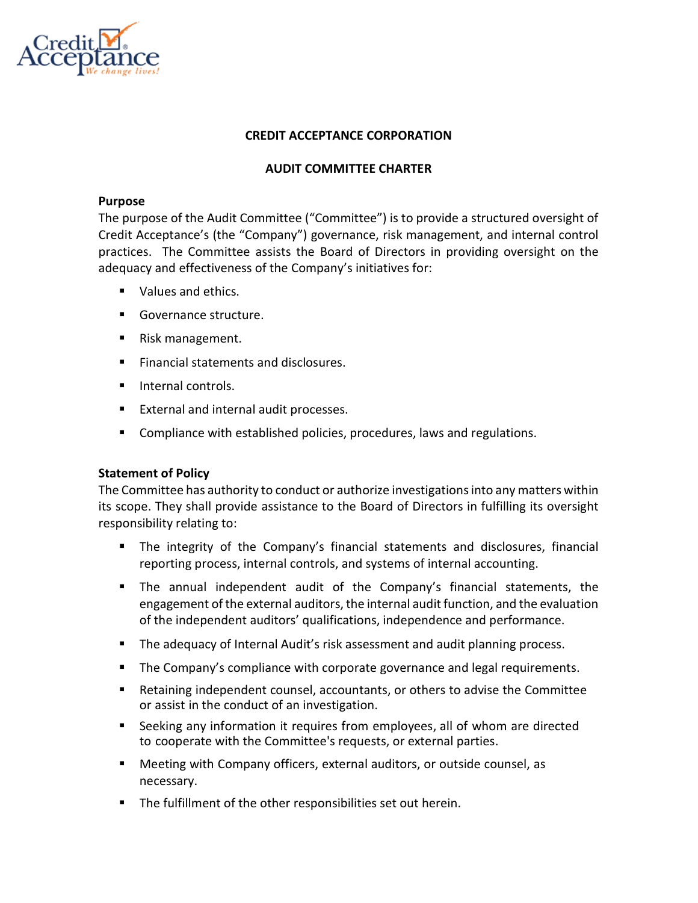

# CREDIT ACCEPTANCE CORPORATION

### AUDIT COMMITTEE CHARTER

#### Purpose

The purpose of the Audit Committee ("Committee") is to provide a structured oversight of Credit Acceptance's (the "Company") governance, risk management, and internal control practices. The Committee assists the Board of Directors in providing oversight on the adequacy and effectiveness of the Company's initiatives for:

- Values and ethics.
- Governance structure.
- Risk management.
- Financial statements and disclosures.
- **Internal controls.**
- **External and internal audit processes.**
- **Compliance with established policies, procedures, laws and regulations.**

### Statement of Policy

The Committee has authority to conduct or authorize investigations into any matters within its scope. They shall provide assistance to the Board of Directors in fulfilling its oversight responsibility relating to:

- The integrity of the Company's financial statements and disclosures, financial reporting process, internal controls, and systems of internal accounting.
- The annual independent audit of the Company's financial statements, the engagement of the external auditors, the internal audit function, and the evaluation of the independent auditors' qualifications, independence and performance.
- The adequacy of Internal Audit's risk assessment and audit planning process.
- The Company's compliance with corporate governance and legal requirements.
- Retaining independent counsel, accountants, or others to advise the Committee or assist in the conduct of an investigation.
- Seeking any information it requires from employees, all of whom are directed to cooperate with the Committee's requests, or external parties.
- Meeting with Company officers, external auditors, or outside counsel, as necessary.
- The fulfillment of the other responsibilities set out herein.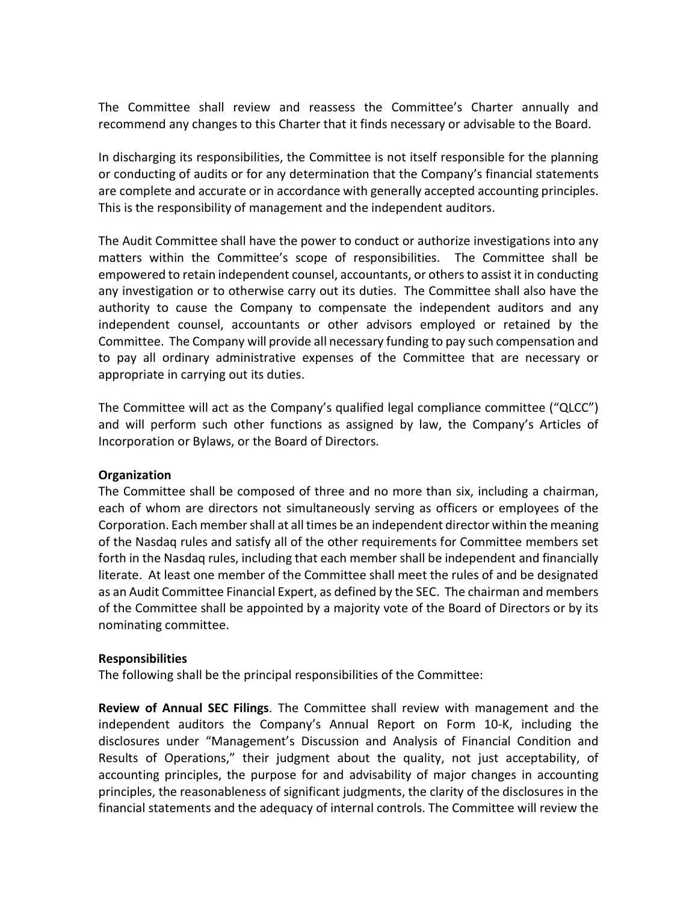The Committee shall review and reassess the Committee's Charter annually and recommend any changes to this Charter that it finds necessary or advisable to the Board.

In discharging its responsibilities, the Committee is not itself responsible for the planning or conducting of audits or for any determination that the Company's financial statements are complete and accurate or in accordance with generally accepted accounting principles. This is the responsibility of management and the independent auditors.

The Audit Committee shall have the power to conduct or authorize investigations into any matters within the Committee's scope of responsibilities. The Committee shall be empowered to retain independent counsel, accountants, or others to assist it in conducting any investigation or to otherwise carry out its duties. The Committee shall also have the authority to cause the Company to compensate the independent auditors and any independent counsel, accountants or other advisors employed or retained by the Committee. The Company will provide all necessary funding to pay such compensation and to pay all ordinary administrative expenses of the Committee that are necessary or appropriate in carrying out its duties.

The Committee will act as the Company's qualified legal compliance committee ("QLCC") and will perform such other functions as assigned by law, the Company's Articles of Incorporation or Bylaws, or the Board of Directors.

### **Organization**

The Committee shall be composed of three and no more than six, including a chairman, each of whom are directors not simultaneously serving as officers or employees of the Corporation. Each member shall at all times be an independent director within the meaning of the Nasdaq rules and satisfy all of the other requirements for Committee members set forth in the Nasdaq rules, including that each member shall be independent and financially literate. At least one member of the Committee shall meet the rules of and be designated as an Audit Committee Financial Expert, as defined by the SEC. The chairman and members of the Committee shall be appointed by a majority vote of the Board of Directors or by its nominating committee.

### Responsibilities

The following shall be the principal responsibilities of the Committee:

Review of Annual SEC Filings. The Committee shall review with management and the independent auditors the Company's Annual Report on Form 10-K, including the disclosures under "Management's Discussion and Analysis of Financial Condition and Results of Operations," their judgment about the quality, not just acceptability, of accounting principles, the purpose for and advisability of major changes in accounting principles, the reasonableness of significant judgments, the clarity of the disclosures in the financial statements and the adequacy of internal controls. The Committee will review the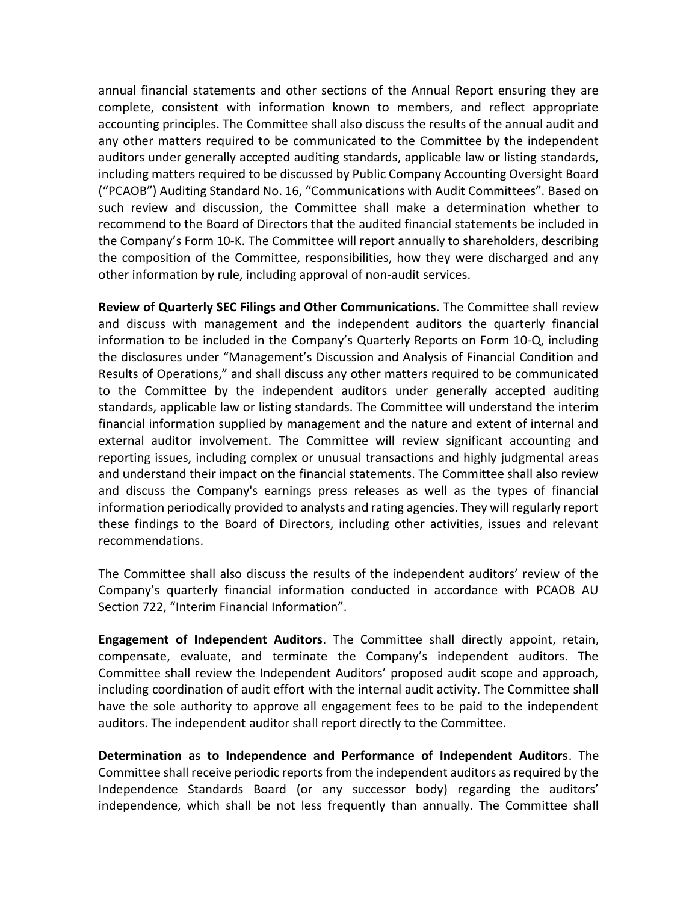annual financial statements and other sections of the Annual Report ensuring they are complete, consistent with information known to members, and reflect appropriate accounting principles. The Committee shall also discuss the results of the annual audit and any other matters required to be communicated to the Committee by the independent auditors under generally accepted auditing standards, applicable law or listing standards, including matters required to be discussed by Public Company Accounting Oversight Board ("PCAOB") Auditing Standard No. 16, "Communications with Audit Committees". Based on such review and discussion, the Committee shall make a determination whether to recommend to the Board of Directors that the audited financial statements be included in the Company's Form 10-K. The Committee will report annually to shareholders, describing the composition of the Committee, responsibilities, how they were discharged and any other information by rule, including approval of non-audit services.

Review of Quarterly SEC Filings and Other Communications. The Committee shall review and discuss with management and the independent auditors the quarterly financial information to be included in the Company's Quarterly Reports on Form 10-Q, including the disclosures under "Management's Discussion and Analysis of Financial Condition and Results of Operations," and shall discuss any other matters required to be communicated to the Committee by the independent auditors under generally accepted auditing standards, applicable law or listing standards. The Committee will understand the interim financial information supplied by management and the nature and extent of internal and external auditor involvement. The Committee will review significant accounting and reporting issues, including complex or unusual transactions and highly judgmental areas and understand their impact on the financial statements. The Committee shall also review and discuss the Company's earnings press releases as well as the types of financial information periodically provided to analysts and rating agencies. They will regularly report these findings to the Board of Directors, including other activities, issues and relevant recommendations.

The Committee shall also discuss the results of the independent auditors' review of the Company's quarterly financial information conducted in accordance with PCAOB AU Section 722, "Interim Financial Information".

Engagement of Independent Auditors. The Committee shall directly appoint, retain, compensate, evaluate, and terminate the Company's independent auditors. The Committee shall review the Independent Auditors' proposed audit scope and approach, including coordination of audit effort with the internal audit activity. The Committee shall have the sole authority to approve all engagement fees to be paid to the independent auditors. The independent auditor shall report directly to the Committee.

Determination as to Independence and Performance of Independent Auditors. The Committee shall receive periodic reports from the independent auditors as required by the Independence Standards Board (or any successor body) regarding the auditors' independence, which shall be not less frequently than annually. The Committee shall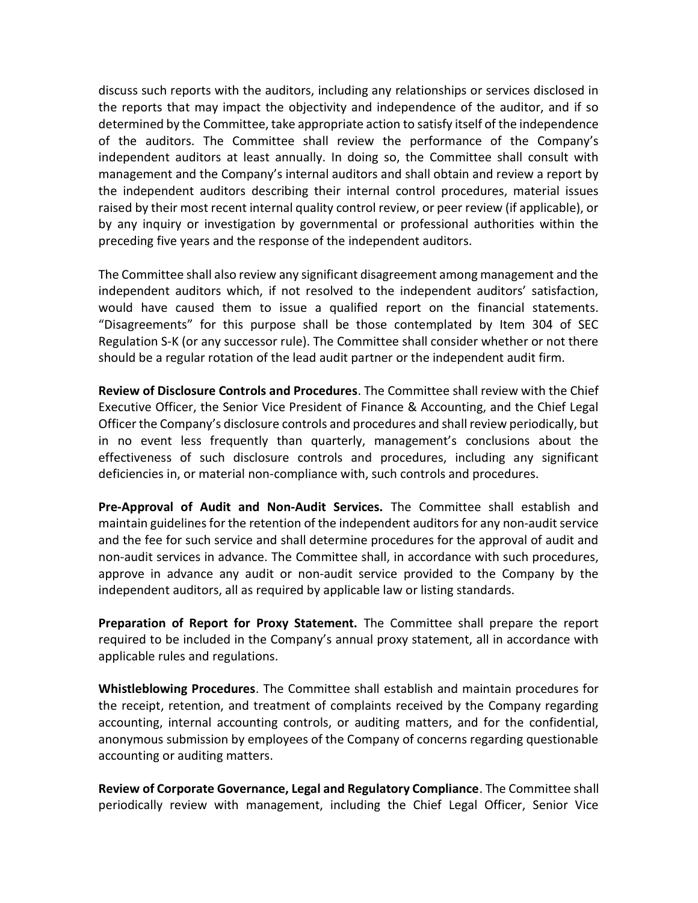discuss such reports with the auditors, including any relationships or services disclosed in the reports that may impact the objectivity and independence of the auditor, and if so determined by the Committee, take appropriate action to satisfy itself of the independence of the auditors. The Committee shall review the performance of the Company's independent auditors at least annually. In doing so, the Committee shall consult with management and the Company's internal auditors and shall obtain and review a report by the independent auditors describing their internal control procedures, material issues raised by their most recent internal quality control review, or peer review (if applicable), or by any inquiry or investigation by governmental or professional authorities within the preceding five years and the response of the independent auditors.

The Committee shall also review any significant disagreement among management and the independent auditors which, if not resolved to the independent auditors' satisfaction, would have caused them to issue a qualified report on the financial statements. "Disagreements" for this purpose shall be those contemplated by Item 304 of SEC Regulation S-K (or any successor rule). The Committee shall consider whether or not there should be a regular rotation of the lead audit partner or the independent audit firm.

Review of Disclosure Controls and Procedures. The Committee shall review with the Chief Executive Officer, the Senior Vice President of Finance & Accounting, and the Chief Legal Officer the Company's disclosure controls and procedures and shall review periodically, but in no event less frequently than quarterly, management's conclusions about the effectiveness of such disclosure controls and procedures, including any significant deficiencies in, or material non-compliance with, such controls and procedures.

Pre-Approval of Audit and Non-Audit Services. The Committee shall establish and maintain guidelines for the retention of the independent auditors for any non-audit service and the fee for such service and shall determine procedures for the approval of audit and non-audit services in advance. The Committee shall, in accordance with such procedures, approve in advance any audit or non-audit service provided to the Company by the independent auditors, all as required by applicable law or listing standards.

Preparation of Report for Proxy Statement. The Committee shall prepare the report required to be included in the Company's annual proxy statement, all in accordance with applicable rules and regulations.

Whistleblowing Procedures. The Committee shall establish and maintain procedures for the receipt, retention, and treatment of complaints received by the Company regarding accounting, internal accounting controls, or auditing matters, and for the confidential, anonymous submission by employees of the Company of concerns regarding questionable accounting or auditing matters.

Review of Corporate Governance, Legal and Regulatory Compliance. The Committee shall periodically review with management, including the Chief Legal Officer, Senior Vice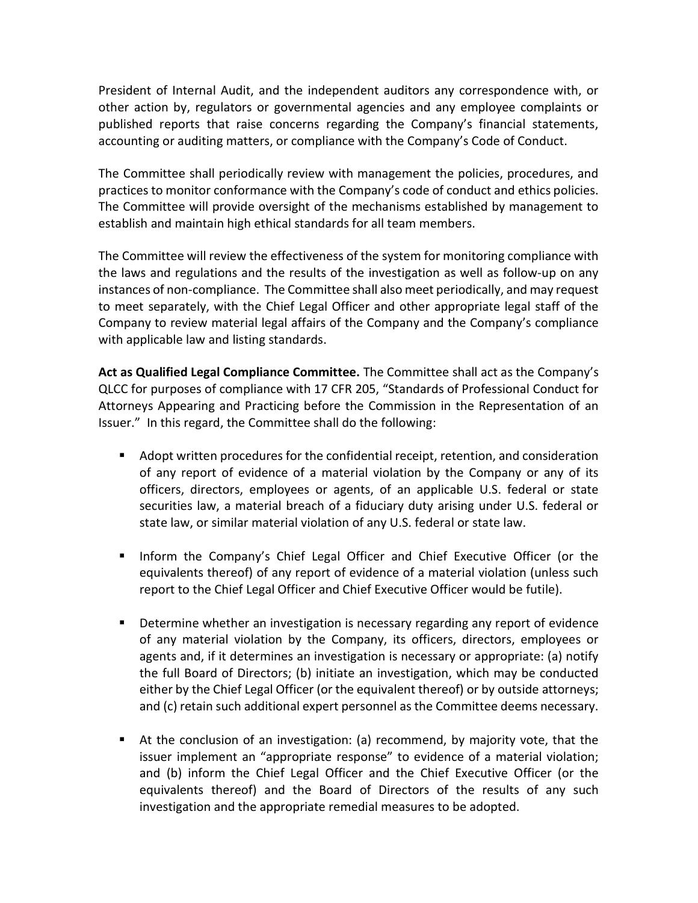President of Internal Audit, and the independent auditors any correspondence with, or other action by, regulators or governmental agencies and any employee complaints or published reports that raise concerns regarding the Company's financial statements, accounting or auditing matters, or compliance with the Company's Code of Conduct.

The Committee shall periodically review with management the policies, procedures, and practices to monitor conformance with the Company's code of conduct and ethics policies. The Committee will provide oversight of the mechanisms established by management to establish and maintain high ethical standards for all team members.

The Committee will review the effectiveness of the system for monitoring compliance with the laws and regulations and the results of the investigation as well as follow-up on any instances of non-compliance. The Committee shall also meet periodically, and may request to meet separately, with the Chief Legal Officer and other appropriate legal staff of the Company to review material legal affairs of the Company and the Company's compliance with applicable law and listing standards.

Act as Qualified Legal Compliance Committee. The Committee shall act as the Company's QLCC for purposes of compliance with 17 CFR 205, "Standards of Professional Conduct for Attorneys Appearing and Practicing before the Commission in the Representation of an Issuer." In this regard, the Committee shall do the following:

- Adopt written procedures for the confidential receipt, retention, and consideration of any report of evidence of a material violation by the Company or any of its officers, directors, employees or agents, of an applicable U.S. federal or state securities law, a material breach of a fiduciary duty arising under U.S. federal or state law, or similar material violation of any U.S. federal or state law.
- **If Inform the Company's Chief Legal Officer and Chief Executive Officer (or the** equivalents thereof) of any report of evidence of a material violation (unless such report to the Chief Legal Officer and Chief Executive Officer would be futile).
- Determine whether an investigation is necessary regarding any report of evidence of any material violation by the Company, its officers, directors, employees or agents and, if it determines an investigation is necessary or appropriate: (a) notify the full Board of Directors; (b) initiate an investigation, which may be conducted either by the Chief Legal Officer (or the equivalent thereof) or by outside attorneys; and (c) retain such additional expert personnel as the Committee deems necessary.
- At the conclusion of an investigation: (a) recommend, by majority vote, that the issuer implement an "appropriate response" to evidence of a material violation; and (b) inform the Chief Legal Officer and the Chief Executive Officer (or the equivalents thereof) and the Board of Directors of the results of any such investigation and the appropriate remedial measures to be adopted.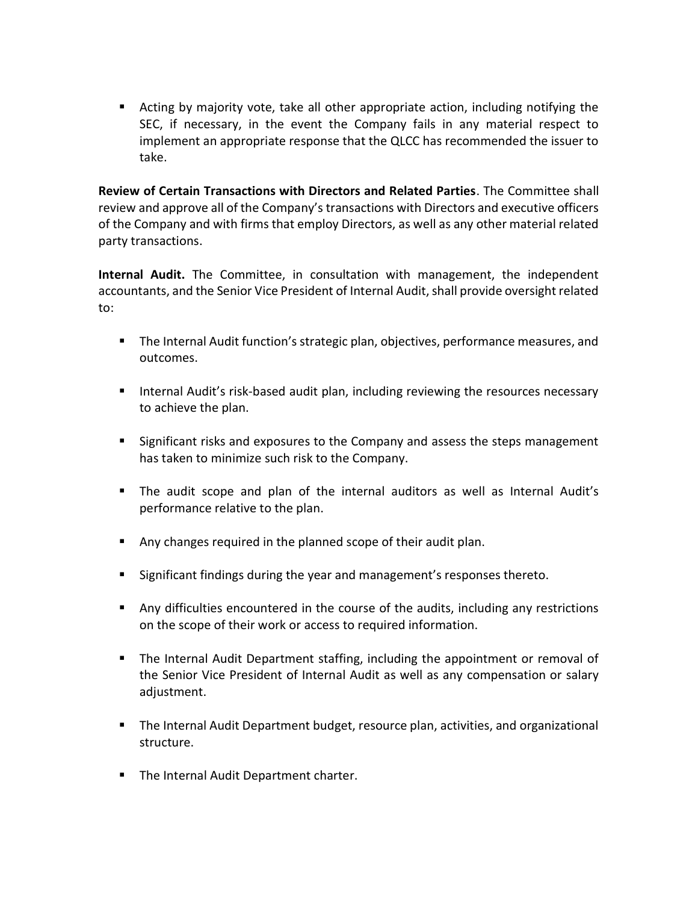Acting by majority vote, take all other appropriate action, including notifying the SEC, if necessary, in the event the Company fails in any material respect to implement an appropriate response that the QLCC has recommended the issuer to take.

Review of Certain Transactions with Directors and Related Parties. The Committee shall review and approve all of the Company's transactions with Directors and executive officers of the Company and with firms that employ Directors, as well as any other material related party transactions.

Internal Audit. The Committee, in consultation with management, the independent accountants, and the Senior Vice President of Internal Audit, shall provide oversight related to:

- The Internal Audit function's strategic plan, objectives, performance measures, and outcomes.
- **Internal Audit's risk-based audit plan, including reviewing the resources necessary** to achieve the plan.
- Significant risks and exposures to the Company and assess the steps management has taken to minimize such risk to the Company.
- The audit scope and plan of the internal auditors as well as Internal Audit's performance relative to the plan.
- Any changes required in the planned scope of their audit plan.
- **Significant findings during the year and management's responses thereto.**
- Any difficulties encountered in the course of the audits, including any restrictions on the scope of their work or access to required information.
- The Internal Audit Department staffing, including the appointment or removal of the Senior Vice President of Internal Audit as well as any compensation or salary adjustment.
- The Internal Audit Department budget, resource plan, activities, and organizational structure.
- **The Internal Audit Department charter.**